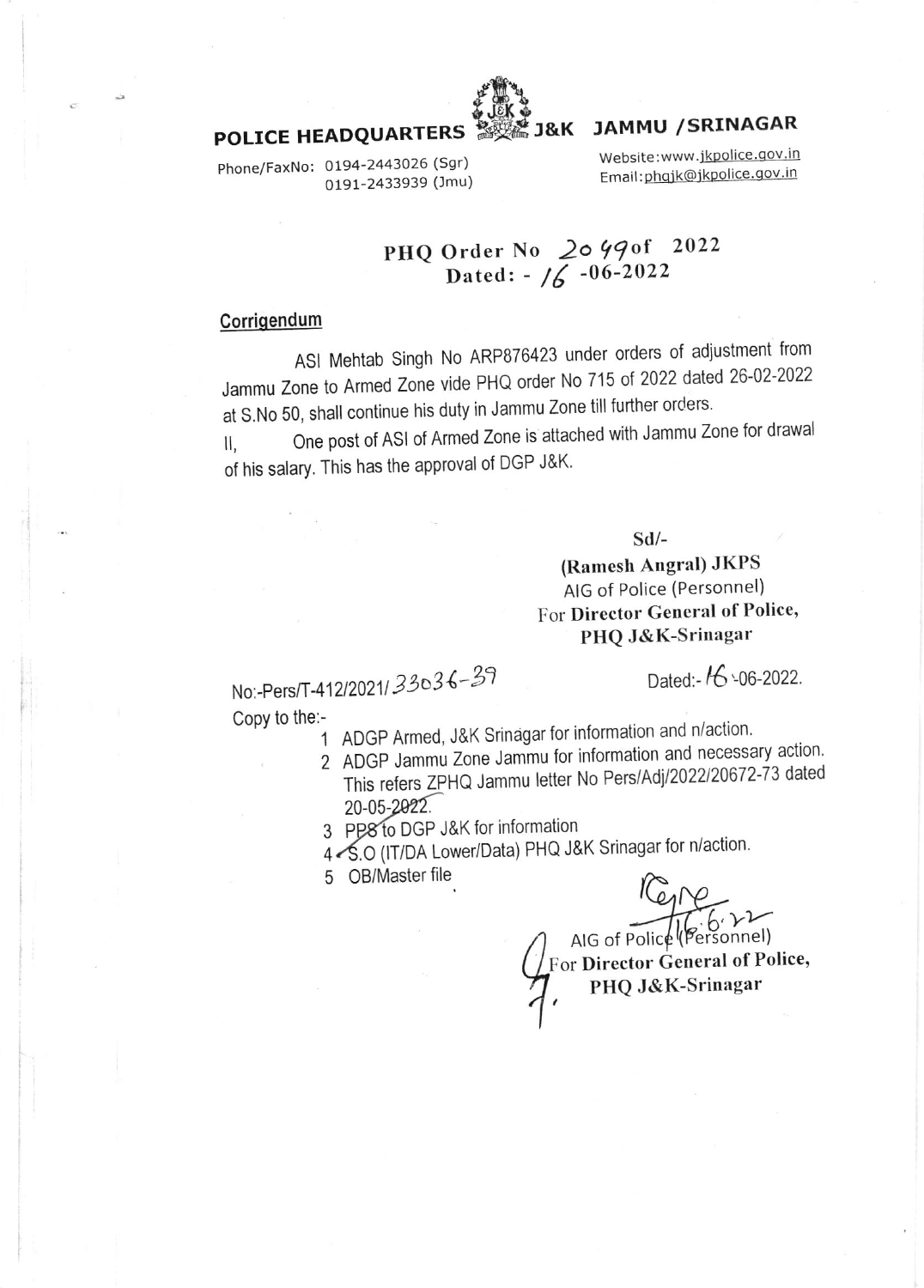

# **JAMMU / SRINAGAR**

Phone/FaxNo: 0194-2443026 (Sgr) 0191-2433939 (Jmu) Website:www.jkpolice.gov.in Email: phqjk@jkpolice.gov.in

#### PHQ Order No 2049of 2022 Dated:  $-16 - 06 - 2022$

### Corrigendum

ASI Mehtab Singh No ARP876423 under orders of adjustment from Jammu Zone to Armed Zone vide PHQ order No 715 of 2022 dated 26-02-2022 at S.No 50, shall continue his duty in Jammu Zone till further orders.

One post of ASI of Armed Zone is attached with Jammu Zone for drawal  $II$ , of his salary. This has the approval of DGP J&K.

 $Sd$ /-

## (Ramesh Angral) JKPS AIG of Police (Personnel) For Director General of Police, PHQ J&K-Srinagar

No:-Pers/T-412/2021/33036-39 Copy to the:-

Dated:- 16 -06-2022.

- 1 ADGP Armed, J&K Srinagar for information and n/action.
- 2 ADGP Jammu Zone Jammu for information and necessary action. This refers ZPHQ Jammu letter No Pers/Adj/2022/20672-73 dated 20-05-2022.
- 3 PP8 to DGP J&K for information
- 4 S.O (IT/DA Lower/Data) PHQ J&K Srinagar for n/action.
- 5 OB/Master file

AIG of Police (Personnel) For Director General of Police, PHQ J&K-Srinagar